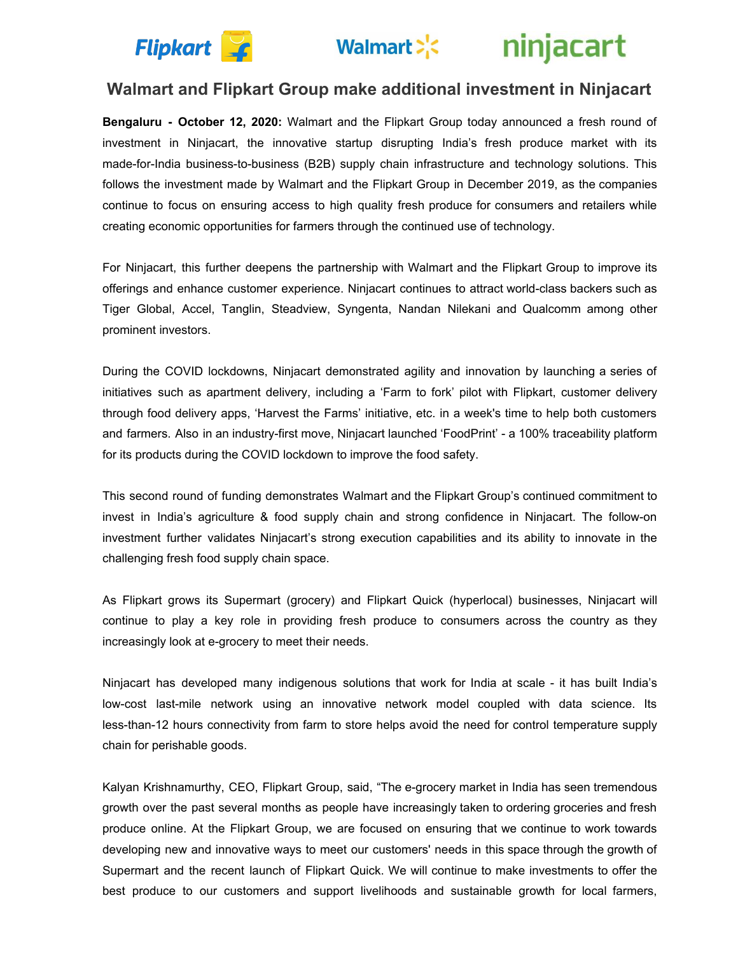

# Walmart > <a>
k</a>
k</a>
injacart

### **Walmart and Flipkart Group make additional investment in Ninjacart**

**Bengaluru - October 12, 2020:** Walmart and the Flipkart Group today announced a fresh round of investment in Ninjacart, the innovative startup disrupting India's fresh produce market with its made-for-India business-to-business (B2B) supply chain infrastructure and technology solutions. This follows the investment made by Walmart and the Flipkart Group in December 2019, as the companies continue to focus on ensuring access to high quality fresh produce for consumers and retailers while creating economic opportunities for farmers through the continued use of technology.

For Ninjacart, this further deepens the partnership with Walmart and the Flipkart Group to improve its offerings and enhance customer experience. Ninjacart continues to attract world-class backers such as Tiger Global, Accel, Tanglin, Steadview, Syngenta, Nandan Nilekani and Qualcomm among other prominent investors.

During the COVID lockdowns, Ninjacart demonstrated agility and innovation by launching a series of initiatives such as apartment delivery, including a 'Farm to fork' pilot with Flipkart, customer delivery through food delivery apps, 'Harvest the Farms' initiative, etc. in a week's time to help both customers and farmers. Also in an industry-first move, Ninjacart launched 'FoodPrint' - a 100% traceability platform for its products during the COVID lockdown to improve the food safety.

This second round of funding demonstrates Walmart and the Flipkart Group's continued commitment to invest in India's agriculture & food supply chain and strong confidence in Ninjacart. The follow-on investment further validates Ninjacart's strong execution capabilities and its ability to innovate in the challenging fresh food supply chain space.

As Flipkart grows its Supermart (grocery) and Flipkart Quick (hyperlocal) businesses, Ninjacart will continue to play a key role in providing fresh produce to consumers across the country as they increasingly look at e-grocery to meet their needs.

Ninjacart has developed many indigenous solutions that work for India at scale - it has built India's low-cost last-mile network using an innovative network model coupled with data science. Its less-than-12 hours connectivity from farm to store helps avoid the need for control temperature supply chain for perishable goods.

Kalyan Krishnamurthy, CEO, Flipkart Group, said, "The e-grocery market in India has seen tremendous growth over the past several months as people have increasingly taken to ordering groceries and fresh produce online. At the Flipkart Group, we are focused on ensuring that we continue to work towards developing new and innovative ways to meet our customers' needs in this space through the growth of Supermart and the recent launch of Flipkart Quick. We will continue to make investments to offer the best produce to our customers and support livelihoods and sustainable growth for local farmers,